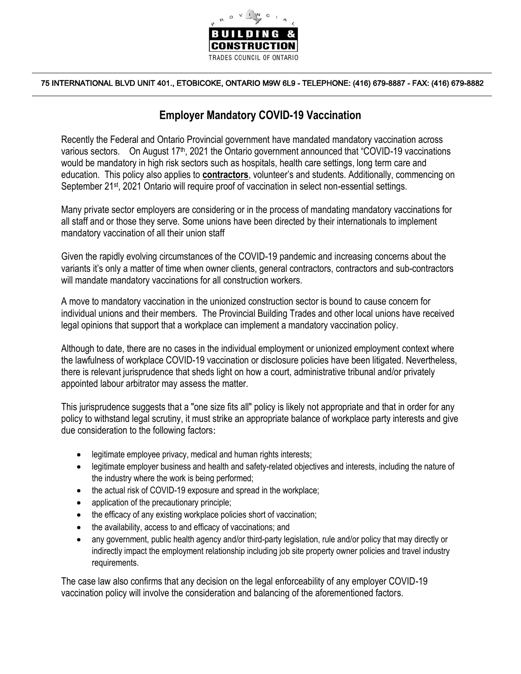

## 75 INTERNATIONAL BLVD UNIT 401., ETOBICOKE, ONTARIO M9W 6L9 - TELEPHONE: (416) 679-8887 - FAX: (416) 679-8882

## **Employer Mandatory COVID-19 Vaccination**

Recently the Federal and Ontario Provincial government have mandated mandatory vaccination across various sectors. On August 17<sup>th</sup>, 2021 the Ontario government announced that "COVID-19 vaccinations" would be mandatory in high risk sectors such as hospitals, health care settings, long term care and education. This policy also applies to **contractors**, volunteer's and students. Additionally, commencing on September 21<sup>st</sup>, 2021 Ontario will require proof of vaccination in select non-essential settings.

Many private sector employers are considering or in the process of mandating mandatory vaccinations for all staff and or those they serve. Some unions have been directed by their internationals to implement mandatory vaccination of all their union staff

Given the rapidly evolving circumstances of the COVID-19 pandemic and increasing concerns about the variants it's only a matter of time when owner clients, general contractors, contractors and sub-contractors will mandate mandatory vaccinations for all construction workers.

A move to mandatory vaccination in the unionized construction sector is bound to cause concern for individual unions and their members. The Provincial Building Trades and other local unions have received legal opinions that support that a workplace can implement a mandatory vaccination policy.

Although to date, there are no cases in the individual employment or unionized employment context where the lawfulness of workplace COVID-19 vaccination or disclosure policies have been litigated. Nevertheless, there is relevant jurisprudence that sheds light on how a court, administrative tribunal and/or privately appointed labour arbitrator may assess the matter.

This jurisprudence suggests that a "one size fits all" policy is likely not appropriate and that in order for any policy to withstand legal scrutiny, it must strike an appropriate balance of workplace party interests and give due consideration to the following factors:

- legitimate employee privacy, medical and human rights interests;
- legitimate employer business and health and safety-related objectives and interests, including the nature of the industry where the work is being performed;
- the actual risk of COVID-19 exposure and spread in the workplace;
- application of the precautionary principle;
- the efficacy of any existing workplace policies short of vaccination;
- the availability, access to and efficacy of vaccinations; and
- any government, public health agency and/or third-party legislation, rule and/or policy that may directly or indirectly impact the employment relationship including job site property owner policies and travel industry requirements.

The case law also confirms that any decision on the legal enforceability of any employer COVID-19 vaccination policy will involve the consideration and balancing of the aforementioned factors.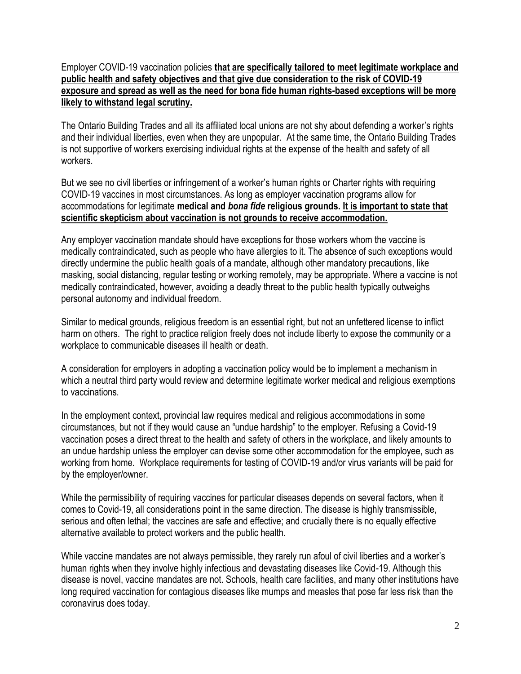Employer COVID-19 vaccination policies **that are specifically tailored to meet legitimate workplace and public health and safety objectives and that give due consideration to the risk of COVID-19 exposure and spread as well as the need for bona fide human rights-based exceptions will be more likely to withstand legal scrutiny.**

The Ontario Building Trades and all its affiliated local unions are not shy about defending a worker's rights and their individual liberties, even when they are unpopular. At the same time, the Ontario Building Trades is not supportive of workers exercising individual rights at the expense of the health and safety of all workers.

But we see no civil liberties or infringement of a worker's human rights or Charter rights with requiring COVID-19 vaccines in most circumstances. As long as employer vaccination programs allow for accommodations for legitimate **medical and** *bona fide* **religious grounds. It is important to state that scientific skepticism about vaccination is not grounds to receive accommodation.**

Any employer vaccination mandate should have exceptions for those workers whom the vaccine is medically contraindicated, such as people who have allergies to it. The absence of such exceptions would directly undermine the public health goals of a mandate, although other mandatory precautions, like masking, social distancing, regular testing or working remotely, may be appropriate. Where a vaccine is not medically contraindicated, however, avoiding a deadly threat to the public health typically outweighs personal autonomy and individual freedom.

Similar to medical grounds, religious freedom is an essential right, but not an unfettered license to inflict harm on others. The right to practice religion freely does not include liberty to expose the community or a workplace to communicable diseases ill health or death.

A consideration for employers in adopting a vaccination policy would be to implement a mechanism in which a neutral third party would review and determine legitimate worker medical and religious exemptions to vaccinations.

In the employment context, provincial law requires medical and religious accommodations in some circumstances, but not if they would cause an "undue hardship" to the employer. Refusing a Covid-19 vaccination poses a direct threat to the health and safety of others in the workplace, and likely amounts to an undue hardship unless the employer can devise some other accommodation for the employee, such as working from home. Workplace requirements for testing of COVID-19 and/or virus variants will be paid for by the employer/owner.

While the permissibility of requiring vaccines for particular diseases depends on several factors, when it comes to Covid-19, all considerations point in the same direction. The disease is highly transmissible, serious and often lethal; the vaccines are safe and effective; and crucially there is no equally effective alternative available to protect workers and the public health.

While vaccine mandates are not always permissible, they rarely run afoul of civil liberties and a worker's human rights when they involve highly infectious and devastating diseases like Covid-19. Although this disease is novel, vaccine mandates are not. Schools, health care facilities, and many other institutions have long required vaccination for contagious diseases like mumps and measles that pose far less risk than the coronavirus does today.